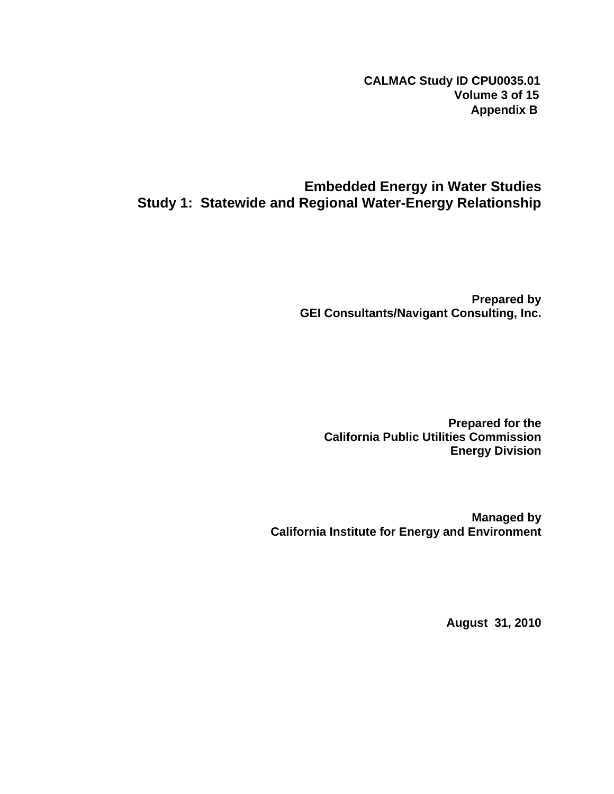**CALMAC Study ID CPU0035.01 Volume 3 of 15 Appendix B**

## **Embedded Energy in Water Studies Study 1: Statewide and Regional Water-Energy Relationship**

**Prepared by GEI Consultants/Navigant Consulting, Inc.** 

**Prepared for the California Public Utilities Commission Energy Division** 

**Managed by California Institute for Energy and Environment** 

**August 31, 2010**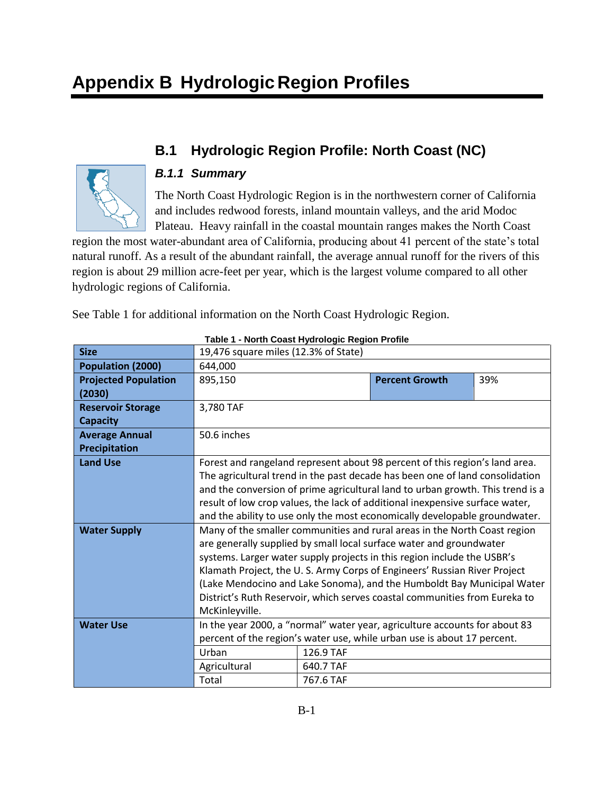# **B.1 Hydrologic Region Profile: North Coast (NC)**



## *B.1.1 Summary*

The North Coast Hydrologic Region is in the northwestern corner of California and includes redwood forests, inland mountain valleys, and the arid Modoc Plateau. Heavy rainfall in the coastal mountain ranges makes the North Coast

region the most water-abundant area of California, producing about 41 percent of the state's total natural runoff. As a result of the abundant rainfall, the average annual runoff for the rivers of this region is about 29 million acre-feet per year, which is the largest volume compared to all other hydrologic regions of California.

See Table 1 for additional information on the North Coast Hydrologic Region.

| <b>Size</b>                 | 19,476 square miles (12.3% of State)                                           |           |                                                                            |     |  |
|-----------------------------|--------------------------------------------------------------------------------|-----------|----------------------------------------------------------------------------|-----|--|
| Population (2000)           | 644,000                                                                        |           |                                                                            |     |  |
| <b>Projected Population</b> | 895,150                                                                        |           | <b>Percent Growth</b>                                                      | 39% |  |
| (2030)                      |                                                                                |           |                                                                            |     |  |
| <b>Reservoir Storage</b>    | 3,780 TAF                                                                      |           |                                                                            |     |  |
| <b>Capacity</b>             |                                                                                |           |                                                                            |     |  |
| <b>Average Annual</b>       | 50.6 inches                                                                    |           |                                                                            |     |  |
| Precipitation               |                                                                                |           |                                                                            |     |  |
| <b>Land Use</b>             | Forest and rangeland represent about 98 percent of this region's land area.    |           |                                                                            |     |  |
|                             | The agricultural trend in the past decade has been one of land consolidation   |           |                                                                            |     |  |
|                             | and the conversion of prime agricultural land to urban growth. This trend is a |           |                                                                            |     |  |
|                             | result of low crop values, the lack of additional inexpensive surface water,   |           |                                                                            |     |  |
|                             | and the ability to use only the most economically developable groundwater.     |           |                                                                            |     |  |
| <b>Water Supply</b>         | Many of the smaller communities and rural areas in the North Coast region      |           |                                                                            |     |  |
|                             | are generally supplied by small local surface water and groundwater            |           |                                                                            |     |  |
|                             | systems. Larger water supply projects in this region include the USBR's        |           |                                                                            |     |  |
|                             |                                                                                |           | Klamath Project, the U.S. Army Corps of Engineers' Russian River Project   |     |  |
|                             |                                                                                |           | (Lake Mendocino and Lake Sonoma), and the Humboldt Bay Municipal Water     |     |  |
|                             |                                                                                |           | District's Ruth Reservoir, which serves coastal communities from Eureka to |     |  |
|                             | McKinleyville.                                                                 |           |                                                                            |     |  |
| <b>Water Use</b>            |                                                                                |           | In the year 2000, a "normal" water year, agriculture accounts for about 83 |     |  |
|                             |                                                                                |           | percent of the region's water use, while urban use is about 17 percent.    |     |  |
|                             | Urban                                                                          | 126.9 TAF |                                                                            |     |  |
|                             | Agricultural                                                                   | 640.7 TAF |                                                                            |     |  |
|                             | Total                                                                          | 767.6 TAF |                                                                            |     |  |

**Table 1 - North Coast Hydrologic Region Profile**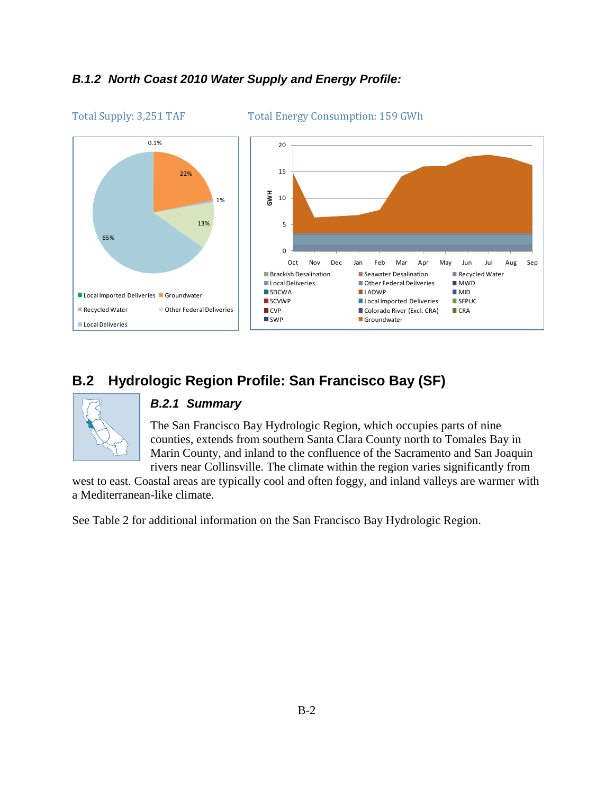### *B.1.2 North Coast 2010 Water Supply and Energy Profile:*



Total Supply: 3,251 TAF Total Energy Consumption: 159 GWh

# **B.2 Hydrologic Region Profile: San Francisco Bay (SF)**



#### *B.2.1 Summary*

The San Francisco Bay Hydrologic Region, which occupies parts of nine counties, extends from southern Santa Clara County north to Tomales Bay in Marin County, and inland to the confluence of the Sacramento and San Joaquin rivers near Collinsville. The climate within the region varies significantly from

west to east. Coastal areas are typically cool and often foggy, and inland valleys are warmer with a Mediterranean-like climate.

See Table 2 for additional information on the San Francisco Bay Hydrologic Region.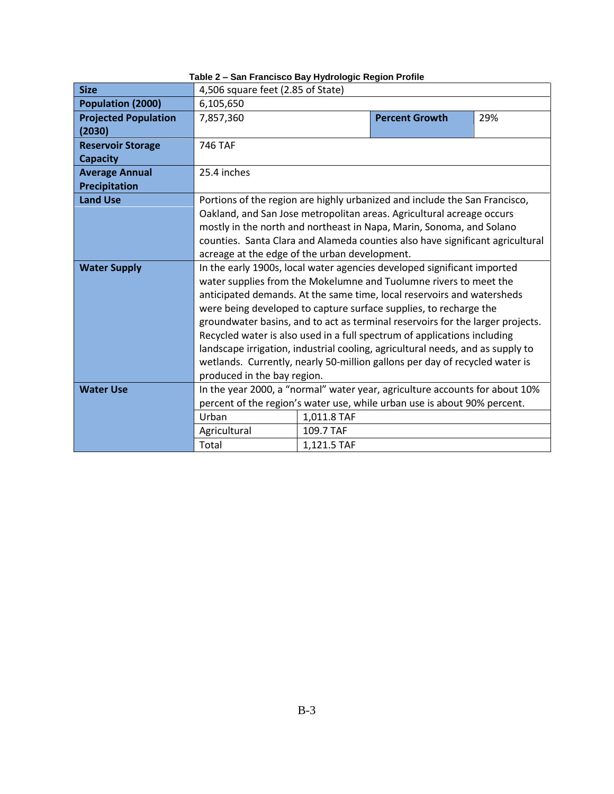| <b>Size</b>                 | 4,506 square feet (2.85 of State)                                             |             |                                                                                |     |  |  |
|-----------------------------|-------------------------------------------------------------------------------|-------------|--------------------------------------------------------------------------------|-----|--|--|
| Population (2000)           | 6,105,650                                                                     |             |                                                                                |     |  |  |
| <b>Projected Population</b> | 7,857,360                                                                     |             | <b>Percent Growth</b>                                                          | 29% |  |  |
| (2030)                      |                                                                               |             |                                                                                |     |  |  |
| <b>Reservoir Storage</b>    | 746 TAF                                                                       |             |                                                                                |     |  |  |
| <b>Capacity</b>             |                                                                               |             |                                                                                |     |  |  |
| <b>Average Annual</b>       | 25.4 inches                                                                   |             |                                                                                |     |  |  |
| Precipitation               |                                                                               |             |                                                                                |     |  |  |
| <b>Land Use</b>             |                                                                               |             | Portions of the region are highly urbanized and include the San Francisco,     |     |  |  |
|                             | Oakland, and San Jose metropolitan areas. Agricultural acreage occurs         |             |                                                                                |     |  |  |
|                             | mostly in the north and northeast in Napa, Marin, Sonoma, and Solano          |             |                                                                                |     |  |  |
|                             | counties. Santa Clara and Alameda counties also have significant agricultural |             |                                                                                |     |  |  |
|                             | acreage at the edge of the urban development.                                 |             |                                                                                |     |  |  |
| <b>Water Supply</b>         | In the early 1900s, local water agencies developed significant imported       |             |                                                                                |     |  |  |
|                             | water supplies from the Mokelumne and Tuolumne rivers to meet the             |             |                                                                                |     |  |  |
|                             | anticipated demands. At the same time, local reservoirs and watersheds        |             |                                                                                |     |  |  |
|                             |                                                                               |             | were being developed to capture surface supplies, to recharge the              |     |  |  |
|                             |                                                                               |             | groundwater basins, and to act as terminal reservoirs for the larger projects. |     |  |  |
|                             |                                                                               |             | Recycled water is also used in a full spectrum of applications including       |     |  |  |
|                             |                                                                               |             | landscape irrigation, industrial cooling, agricultural needs, and as supply to |     |  |  |
|                             |                                                                               |             | wetlands. Currently, nearly 50-million gallons per day of recycled water is    |     |  |  |
|                             | produced in the bay region.                                                   |             |                                                                                |     |  |  |
| <b>Water Use</b>            |                                                                               |             | In the year 2000, a "normal" water year, agriculture accounts for about 10%    |     |  |  |
|                             |                                                                               |             | percent of the region's water use, while urban use is about 90% percent.       |     |  |  |
|                             | Urban                                                                         | 1,011.8 TAF |                                                                                |     |  |  |
|                             | Agricultural                                                                  | 109.7 TAF   |                                                                                |     |  |  |
|                             | Total<br>1,121.5 TAF                                                          |             |                                                                                |     |  |  |

**Table 2 – San Francisco Bay Hydrologic Region Profile**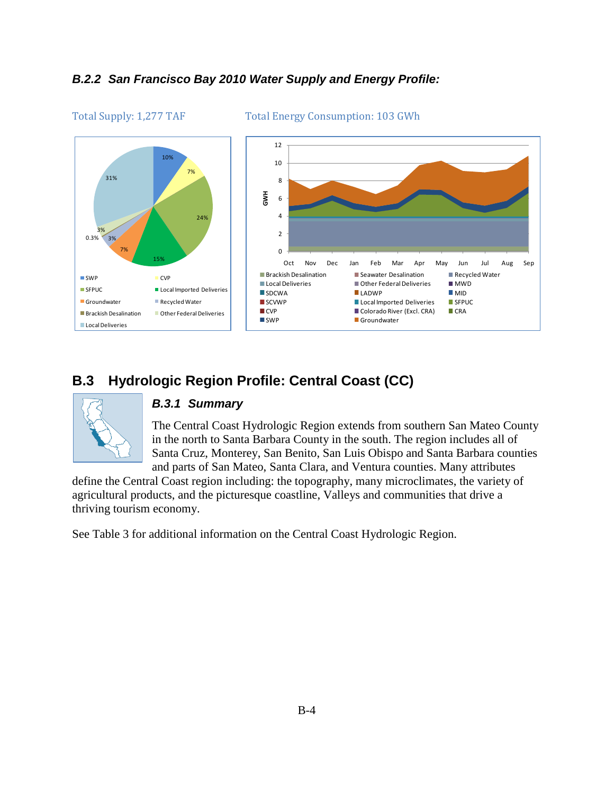### *B.2.2 San Francisco Bay 2010 Water Supply and Energy Profile:*



Total Supply: 1,277 TAF Total Energy Consumption: 103 GWh

# **B.3 Hydrologic Region Profile: Central Coast (CC)**



#### *B.3.1 Summary*

The Central Coast Hydrologic Region extends from southern San Mateo County in the north to Santa Barbara County in the south. The region includes all of Santa Cruz, Monterey, San Benito, San Luis Obispo and Santa Barbara counties and parts of San Mateo, Santa Clara, and Ventura counties. Many attributes

define the Central Coast region including: the topography, many microclimates, the variety of agricultural products, and the picturesque coastline, Valleys and communities that drive a thriving tourism economy.

See Table 3 for additional information on the Central Coast Hydrologic Region.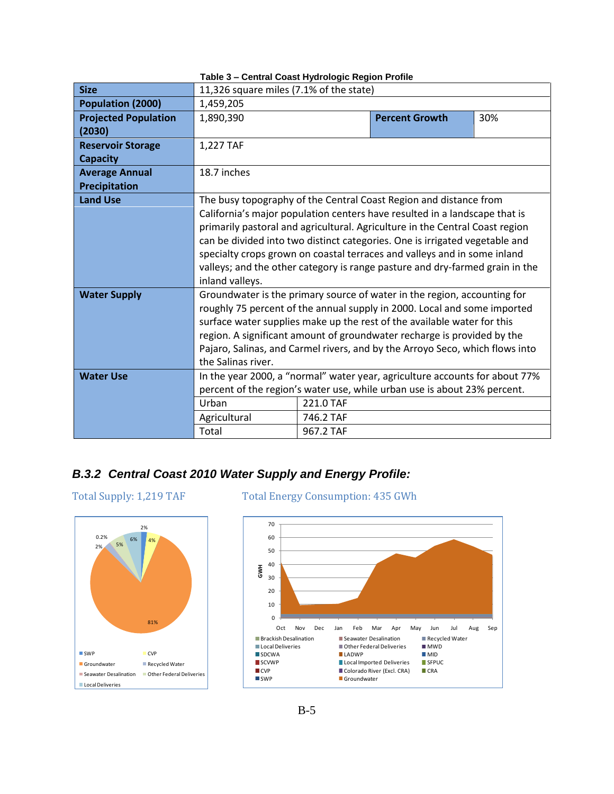| <b>Size</b>                 | 11,326 square miles (7.1% of the state)                                                                                                             |           |                                                                              |     |  |  |
|-----------------------------|-----------------------------------------------------------------------------------------------------------------------------------------------------|-----------|------------------------------------------------------------------------------|-----|--|--|
| Population (2000)           | 1,459,205                                                                                                                                           |           |                                                                              |     |  |  |
| <b>Projected Population</b> | 1,890,390                                                                                                                                           |           | <b>Percent Growth</b>                                                        | 30% |  |  |
| (2030)                      |                                                                                                                                                     |           |                                                                              |     |  |  |
| <b>Reservoir Storage</b>    | 1,227 TAF                                                                                                                                           |           |                                                                              |     |  |  |
| <b>Capacity</b>             |                                                                                                                                                     |           |                                                                              |     |  |  |
| <b>Average Annual</b>       | 18.7 inches                                                                                                                                         |           |                                                                              |     |  |  |
| Precipitation               |                                                                                                                                                     |           |                                                                              |     |  |  |
| <b>Land Use</b>             |                                                                                                                                                     |           | The busy topography of the Central Coast Region and distance from            |     |  |  |
|                             |                                                                                                                                                     |           | California's major population centers have resulted in a landscape that is   |     |  |  |
|                             | primarily pastoral and agricultural. Agriculture in the Central Coast region                                                                        |           |                                                                              |     |  |  |
|                             | can be divided into two distinct categories. One is irrigated vegetable and                                                                         |           |                                                                              |     |  |  |
|                             | specialty crops grown on coastal terraces and valleys and in some inland                                                                            |           |                                                                              |     |  |  |
|                             | valleys; and the other category is range pasture and dry-farmed grain in the                                                                        |           |                                                                              |     |  |  |
|                             | inland valleys.                                                                                                                                     |           |                                                                              |     |  |  |
| <b>Water Supply</b>         | Groundwater is the primary source of water in the region, accounting for                                                                            |           |                                                                              |     |  |  |
|                             | roughly 75 percent of the annual supply in 2000. Local and some imported<br>surface water supplies make up the rest of the available water for this |           |                                                                              |     |  |  |
|                             |                                                                                                                                                     |           |                                                                              |     |  |  |
|                             |                                                                                                                                                     |           | region. A significant amount of groundwater recharge is provided by the      |     |  |  |
|                             | the Salinas river.                                                                                                                                  |           | Pajaro, Salinas, and Carmel rivers, and by the Arroyo Seco, which flows into |     |  |  |
| <b>Water Use</b>            |                                                                                                                                                     |           | In the year 2000, a "normal" water year, agriculture accounts for about 77%  |     |  |  |
|                             |                                                                                                                                                     |           | percent of the region's water use, while urban use is about 23% percent.     |     |  |  |
|                             | Urban                                                                                                                                               | 221.0 TAF |                                                                              |     |  |  |
|                             |                                                                                                                                                     |           |                                                                              |     |  |  |
|                             | Agricultural                                                                                                                                        | 746.2 TAF |                                                                              |     |  |  |
|                             | Total<br>967.2 TAF                                                                                                                                  |           |                                                                              |     |  |  |

#### **Table 3 – Central Coast Hydrologic Region Profile**

### *B.3.2 Central Coast 2010 Water Supply and Energy Profile:*



#### Total Supply: 1,219 TAF Total Energy Consumption: 435 GWh

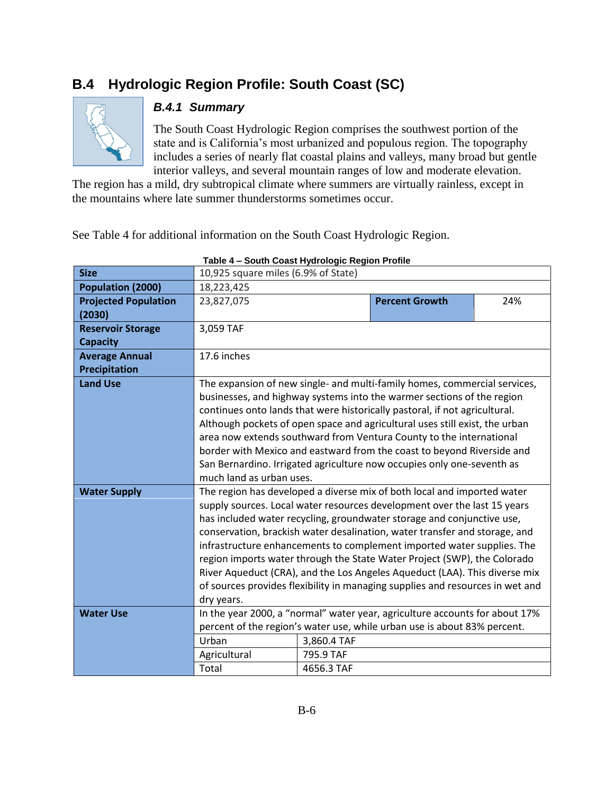# **B.4 Hydrologic Region Profile: South Coast (SC)**



## *B.4.1 Summary*

The South Coast Hydrologic Region comprises the southwest portion of the state and is California's most urbanized and populous region. The topography includes a series of nearly flat coastal plains and valleys, many broad but gentle interior valleys, and several mountain ranges of low and moderate elevation.

The region has a mild, dry subtropical climate where summers are virtually rainless, except in the mountains where late summer thunderstorms sometimes occur.

See Table 4 for additional information on the South Coast Hydrologic Region.

| <b>Size</b>                           | 10,925 square miles (6.9% of State)                                                                                                                                                                                                                                                                                                                                                                                                                                                                                                                                                                                                            |                                        |                                                                                                                                                         |     |  |  |
|---------------------------------------|------------------------------------------------------------------------------------------------------------------------------------------------------------------------------------------------------------------------------------------------------------------------------------------------------------------------------------------------------------------------------------------------------------------------------------------------------------------------------------------------------------------------------------------------------------------------------------------------------------------------------------------------|----------------------------------------|---------------------------------------------------------------------------------------------------------------------------------------------------------|-----|--|--|
| Population (2000)                     | 18,223,425                                                                                                                                                                                                                                                                                                                                                                                                                                                                                                                                                                                                                                     |                                        |                                                                                                                                                         |     |  |  |
| <b>Projected Population</b><br>(2030) | 23,827,075                                                                                                                                                                                                                                                                                                                                                                                                                                                                                                                                                                                                                                     |                                        | <b>Percent Growth</b>                                                                                                                                   | 24% |  |  |
| <b>Reservoir Storage</b>              | 3,059 TAF                                                                                                                                                                                                                                                                                                                                                                                                                                                                                                                                                                                                                                      |                                        |                                                                                                                                                         |     |  |  |
| <b>Capacity</b>                       |                                                                                                                                                                                                                                                                                                                                                                                                                                                                                                                                                                                                                                                |                                        |                                                                                                                                                         |     |  |  |
| <b>Average Annual</b>                 | 17.6 inches                                                                                                                                                                                                                                                                                                                                                                                                                                                                                                                                                                                                                                    |                                        |                                                                                                                                                         |     |  |  |
| Precipitation                         |                                                                                                                                                                                                                                                                                                                                                                                                                                                                                                                                                                                                                                                |                                        |                                                                                                                                                         |     |  |  |
| <b>Land Use</b>                       | The expansion of new single- and multi-family homes, commercial services,<br>businesses, and highway systems into the warmer sections of the region<br>continues onto lands that were historically pastoral, if not agricultural.<br>Although pockets of open space and agricultural uses still exist, the urban<br>area now extends southward from Ventura County to the international<br>border with Mexico and eastward from the coast to beyond Riverside and<br>San Bernardino. Irrigated agriculture now occupies only one-seventh as<br>much land as urban uses.                                                                        |                                        |                                                                                                                                                         |     |  |  |
| <b>Water Supply</b>                   | The region has developed a diverse mix of both local and imported water<br>supply sources. Local water resources development over the last 15 years<br>has included water recycling, groundwater storage and conjunctive use,<br>conservation, brackish water desalination, water transfer and storage, and<br>infrastructure enhancements to complement imported water supplies. The<br>region imports water through the State Water Project (SWP), the Colorado<br>River Aqueduct (CRA), and the Los Angeles Aqueduct (LAA). This diverse mix<br>of sources provides flexibility in managing supplies and resources in wet and<br>dry years. |                                        |                                                                                                                                                         |     |  |  |
| <b>Water Use</b>                      | Urban<br>Agricultural<br>Total                                                                                                                                                                                                                                                                                                                                                                                                                                                                                                                                                                                                                 | 3,860.4 TAF<br>795.9 TAF<br>4656.3 TAF | In the year 2000, a "normal" water year, agriculture accounts for about 17%<br>percent of the region's water use, while urban use is about 83% percent. |     |  |  |

#### **Table 4 – South Coast Hydrologic Region Profile**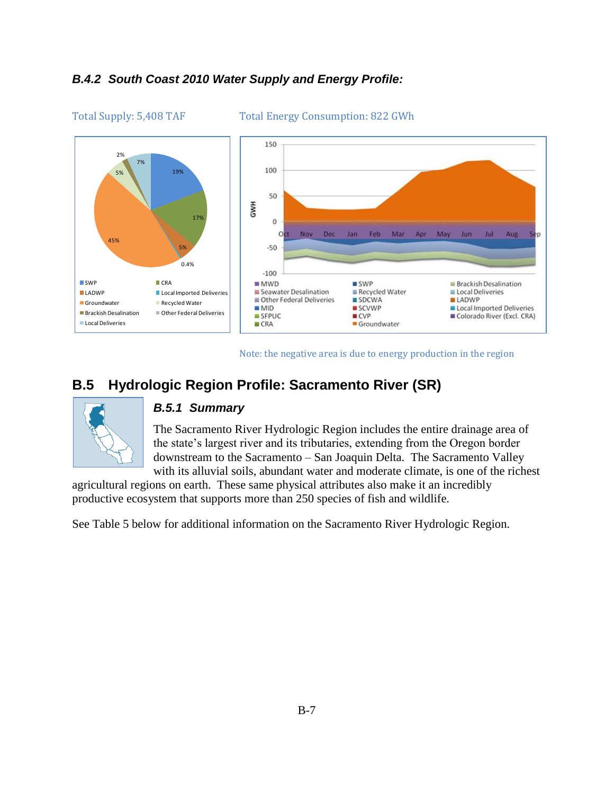## *B.4.2 South Coast 2010 Water Supply and Energy Profile:*





Note: the negative area is due to energy production in the region

# **B.5 Hydrologic Region Profile: Sacramento River (SR)**



#### *B.5.1 Summary*

The Sacramento River Hydrologic Region includes the entire drainage area of the state's largest river and its tributaries, extending from the Oregon border downstream to the Sacramento – San Joaquin Delta. The Sacramento Valley with its alluvial soils, abundant water and moderate climate, is one of the richest

agricultural regions on earth. These same physical attributes also make it an incredibly productive ecosystem that supports more than 250 species of fish and wildlife.

See Table 5 below for additional information on the Sacramento River Hydrologic Region.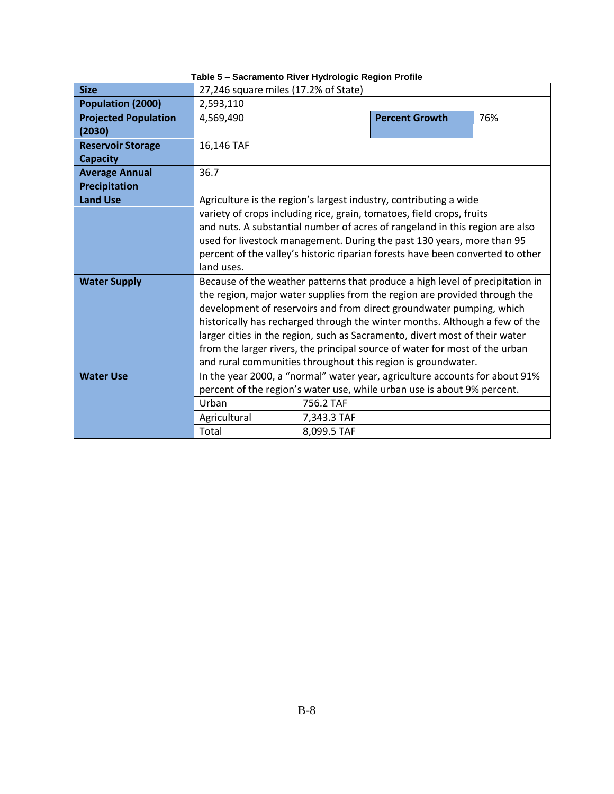| <b>Size</b>                 | 27,246 square miles (17.2% of State)                                           |             |                                                                             |     |  |
|-----------------------------|--------------------------------------------------------------------------------|-------------|-----------------------------------------------------------------------------|-----|--|
| Population (2000)           | 2,593,110                                                                      |             |                                                                             |     |  |
| <b>Projected Population</b> | 4,569,490                                                                      |             | <b>Percent Growth</b>                                                       | 76% |  |
| (2030)                      |                                                                                |             |                                                                             |     |  |
| <b>Reservoir Storage</b>    | 16,146 TAF                                                                     |             |                                                                             |     |  |
| <b>Capacity</b>             |                                                                                |             |                                                                             |     |  |
| <b>Average Annual</b>       | 36.7                                                                           |             |                                                                             |     |  |
| <b>Precipitation</b>        |                                                                                |             |                                                                             |     |  |
| <b>Land Use</b>             |                                                                                |             | Agriculture is the region's largest industry, contributing a wide           |     |  |
|                             |                                                                                |             | variety of crops including rice, grain, tomatoes, field crops, fruits       |     |  |
|                             | and nuts. A substantial number of acres of rangeland in this region are also   |             |                                                                             |     |  |
|                             | used for livestock management. During the past 130 years, more than 95         |             |                                                                             |     |  |
|                             | percent of the valley's historic riparian forests have been converted to other |             |                                                                             |     |  |
|                             | land uses.                                                                     |             |                                                                             |     |  |
| <b>Water Supply</b>         | Because of the weather patterns that produce a high level of precipitation in  |             |                                                                             |     |  |
|                             |                                                                                |             | the region, major water supplies from the region are provided through the   |     |  |
|                             |                                                                                |             | development of reservoirs and from direct groundwater pumping, which        |     |  |
|                             |                                                                                |             | historically has recharged through the winter months. Although a few of the |     |  |
|                             |                                                                                |             | larger cities in the region, such as Sacramento, divert most of their water |     |  |
|                             |                                                                                |             | from the larger rivers, the principal source of water for most of the urban |     |  |
|                             |                                                                                |             | and rural communities throughout this region is groundwater.                |     |  |
| <b>Water Use</b>            |                                                                                |             | In the year 2000, a "normal" water year, agriculture accounts for about 91% |     |  |
|                             |                                                                                |             | percent of the region's water use, while urban use is about 9% percent.     |     |  |
|                             | Urban                                                                          | 756.2 TAF   |                                                                             |     |  |
|                             | Agricultural                                                                   | 7,343.3 TAF |                                                                             |     |  |
|                             | Total                                                                          | 8,099.5 TAF |                                                                             |     |  |

**Table 5 – Sacramento River Hydrologic Region Profile**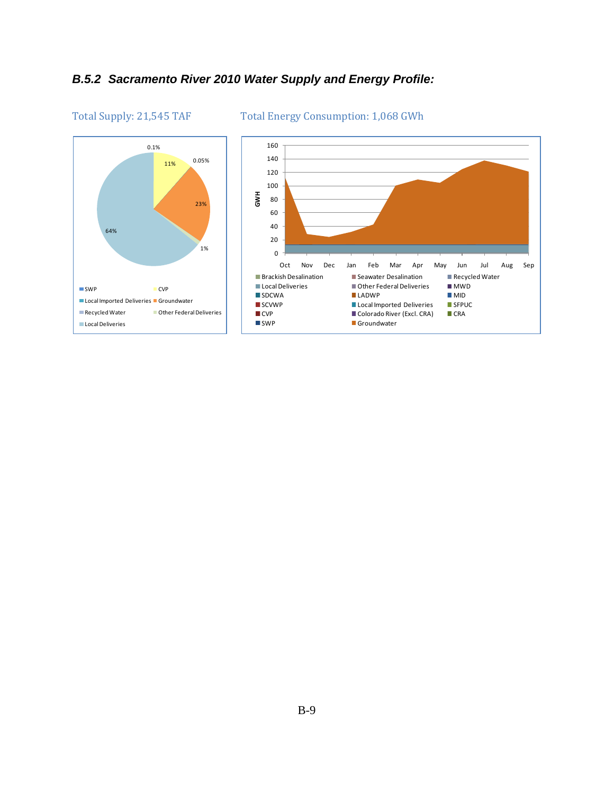## *B.5.2 Sacramento River 2010 Water Supply and Energy Profile:*



#### Total Supply: 21,545 TAF Total Energy Consumption: 1,068 GWh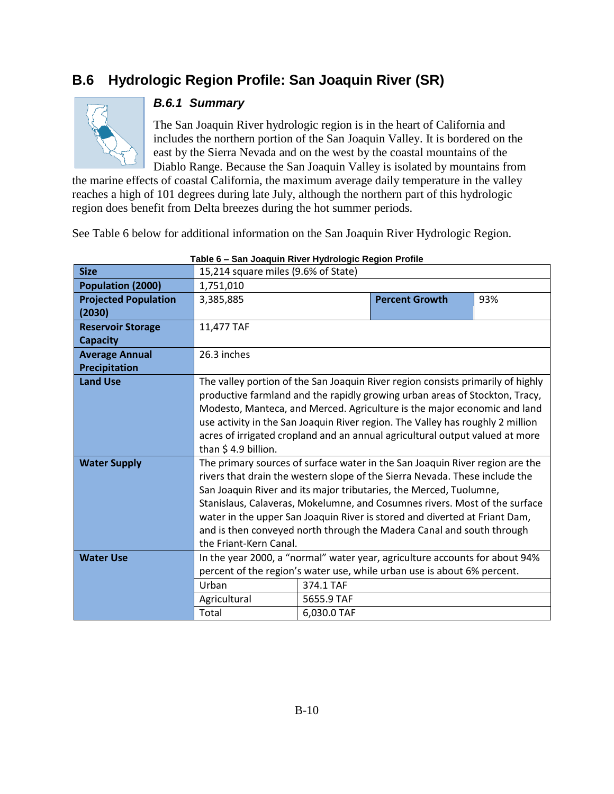# **B.6 Hydrologic Region Profile: San Joaquin River (SR)**



### *B.6.1 Summary*

The San Joaquin River hydrologic region is in the heart of California and includes the northern portion of the San Joaquin Valley. It is bordered on the east by the Sierra Nevada and on the west by the coastal mountains of the Diablo Range. Because the San Joaquin Valley is isolated by mountains from

the marine effects of coastal California, the maximum average daily temperature in the valley reaches a high of 101 degrees during late July, although the northern part of this hydrologic region does benefit from Delta breezes during the hot summer periods.

See Table 6 below for additional information on the San Joaquin River Hydrologic Region.

| <b>Size</b>                 | 15,214 square miles (9.6% of State)                                            | <u>san seaqam missi riyarsiyyis negisir roma</u> |                                                                                 |     |  |  |
|-----------------------------|--------------------------------------------------------------------------------|--------------------------------------------------|---------------------------------------------------------------------------------|-----|--|--|
| Population (2000)           | 1,751,010                                                                      |                                                  |                                                                                 |     |  |  |
| <b>Projected Population</b> | 3,385,885                                                                      |                                                  | <b>Percent Growth</b>                                                           | 93% |  |  |
| (2030)                      |                                                                                |                                                  |                                                                                 |     |  |  |
| <b>Reservoir Storage</b>    | 11,477 TAF                                                                     |                                                  |                                                                                 |     |  |  |
| <b>Capacity</b>             |                                                                                |                                                  |                                                                                 |     |  |  |
| <b>Average Annual</b>       | 26.3 inches                                                                    |                                                  |                                                                                 |     |  |  |
| Precipitation               |                                                                                |                                                  |                                                                                 |     |  |  |
| <b>Land Use</b>             |                                                                                |                                                  | The valley portion of the San Joaquin River region consists primarily of highly |     |  |  |
|                             |                                                                                |                                                  | productive farmland and the rapidly growing urban areas of Stockton, Tracy,     |     |  |  |
|                             | Modesto, Manteca, and Merced. Agriculture is the major economic and land       |                                                  |                                                                                 |     |  |  |
|                             | use activity in the San Joaquin River region. The Valley has roughly 2 million |                                                  |                                                                                 |     |  |  |
|                             | acres of irrigated cropland and an annual agricultural output valued at more   |                                                  |                                                                                 |     |  |  |
|                             | than $$4.9$ billion.                                                           |                                                  |                                                                                 |     |  |  |
| <b>Water Supply</b>         | The primary sources of surface water in the San Joaquin River region are the   |                                                  |                                                                                 |     |  |  |
|                             | rivers that drain the western slope of the Sierra Nevada. These include the    |                                                  |                                                                                 |     |  |  |
|                             |                                                                                |                                                  | San Joaquin River and its major tributaries, the Merced, Tuolumne,              |     |  |  |
|                             |                                                                                |                                                  | Stanislaus, Calaveras, Mokelumne, and Cosumnes rivers. Most of the surface      |     |  |  |
|                             |                                                                                |                                                  | water in the upper San Joaquin River is stored and diverted at Friant Dam,      |     |  |  |
|                             |                                                                                |                                                  | and is then conveyed north through the Madera Canal and south through           |     |  |  |
|                             | the Friant-Kern Canal.                                                         |                                                  |                                                                                 |     |  |  |
| <b>Water Use</b>            |                                                                                |                                                  | In the year 2000, a "normal" water year, agriculture accounts for about 94%     |     |  |  |
|                             |                                                                                |                                                  | percent of the region's water use, while urban use is about 6% percent.         |     |  |  |
|                             | Urban                                                                          | 374.1 TAF                                        |                                                                                 |     |  |  |
|                             | Agricultural                                                                   | 5655.9 TAF                                       |                                                                                 |     |  |  |
|                             | Total<br>6,030.0 TAF                                                           |                                                  |                                                                                 |     |  |  |

**Table 6 – San Joaquin River Hydrologic Region Profile**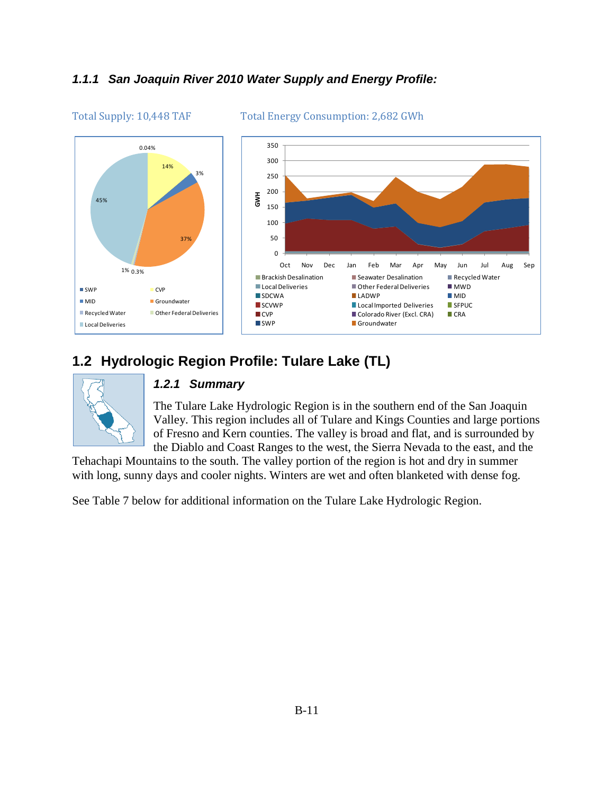## *1.1.1 San Joaquin River 2010 Water Supply and Energy Profile:*



#### Total Supply: 10,448 TAF Total Energy Consumption: 2,682 GWh

# **1.2 Hydrologic Region Profile: Tulare Lake (TL)**



#### *1.2.1 Summary*

The Tulare Lake Hydrologic Region is in the southern end of the San Joaquin Valley. This region includes all of Tulare and Kings Counties and large portions of Fresno and Kern counties. The valley is broad and flat, and is surrounded by the Diablo and Coast Ranges to the west, the Sierra Nevada to the east, and the

Tehachapi Mountains to the south. The valley portion of the region is hot and dry in summer with long, sunny days and cooler nights. Winters are wet and often blanketed with dense fog.

See Table 7 below for additional information on the Tulare Lake Hydrologic Region.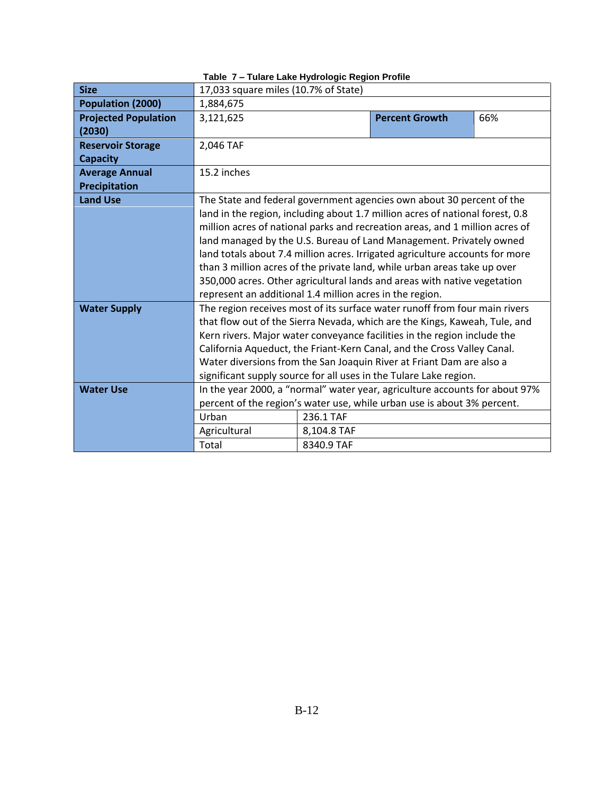| <b>Size</b>                            | 17,033 square miles (10.7% of State)                                         |             |                                                                               |     |  |
|----------------------------------------|------------------------------------------------------------------------------|-------------|-------------------------------------------------------------------------------|-----|--|
| Population (2000)                      | 1,884,675                                                                    |             |                                                                               |     |  |
| <b>Projected Population</b>            | 3,121,625                                                                    |             | <b>Percent Growth</b>                                                         | 66% |  |
| (2030)                                 |                                                                              |             |                                                                               |     |  |
| <b>Reservoir Storage</b>               | 2,046 TAF                                                                    |             |                                                                               |     |  |
| <b>Capacity</b>                        |                                                                              |             |                                                                               |     |  |
| <b>Average Annual</b><br>Precipitation | 15.2 inches                                                                  |             |                                                                               |     |  |
| <b>Land Use</b>                        |                                                                              |             | The State and federal government agencies own about 30 percent of the         |     |  |
|                                        |                                                                              |             | land in the region, including about 1.7 million acres of national forest, 0.8 |     |  |
|                                        |                                                                              |             | million acres of national parks and recreation areas, and 1 million acres of  |     |  |
|                                        |                                                                              |             | land managed by the U.S. Bureau of Land Management. Privately owned           |     |  |
|                                        | land totals about 7.4 million acres. Irrigated agriculture accounts for more |             |                                                                               |     |  |
|                                        | than 3 million acres of the private land, while urban areas take up over     |             |                                                                               |     |  |
|                                        | 350,000 acres. Other agricultural lands and areas with native vegetation     |             |                                                                               |     |  |
|                                        | represent an additional 1.4 million acres in the region.                     |             |                                                                               |     |  |
| <b>Water Supply</b>                    | The region receives most of its surface water runoff from four main rivers   |             |                                                                               |     |  |
|                                        | that flow out of the Sierra Nevada, which are the Kings, Kaweah, Tule, and   |             |                                                                               |     |  |
|                                        |                                                                              |             | Kern rivers. Major water conveyance facilities in the region include the      |     |  |
|                                        |                                                                              |             | California Aqueduct, the Friant-Kern Canal, and the Cross Valley Canal.       |     |  |
|                                        |                                                                              |             | Water diversions from the San Joaquin River at Friant Dam are also a          |     |  |
|                                        |                                                                              |             | significant supply source for all uses in the Tulare Lake region.             |     |  |
| <b>Water Use</b>                       |                                                                              |             | In the year 2000, a "normal" water year, agriculture accounts for about 97%   |     |  |
|                                        |                                                                              |             | percent of the region's water use, while urban use is about 3% percent.       |     |  |
|                                        | Urban                                                                        | 236.1 TAF   |                                                                               |     |  |
|                                        | Agricultural                                                                 | 8,104.8 TAF |                                                                               |     |  |
|                                        | Total<br>8340.9 TAF                                                          |             |                                                                               |     |  |

#### **Table 7 – Tulare Lake Hydrologic Region Profile**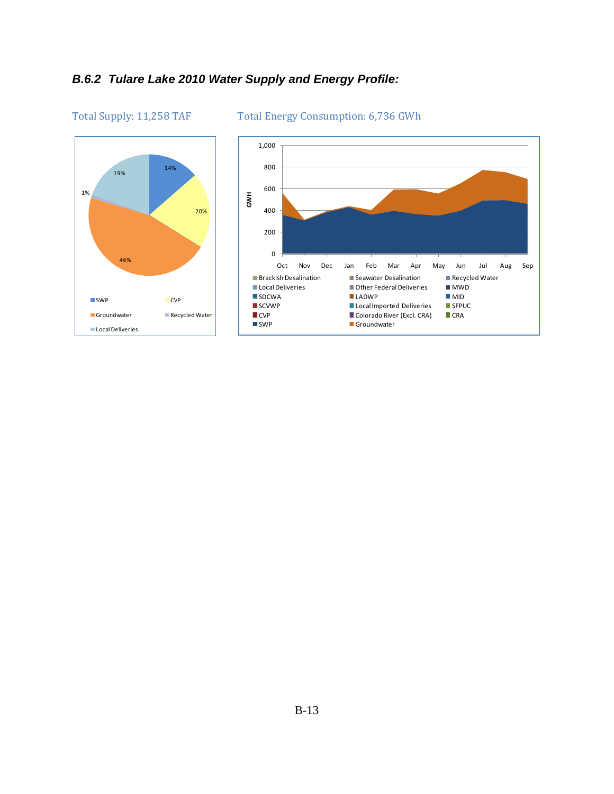# *B.6.2 Tulare Lake 2010 Water Supply and Energy Profile:*



#### Total Supply: 11,258 TAF Total Energy Consumption: 6,736 GWh

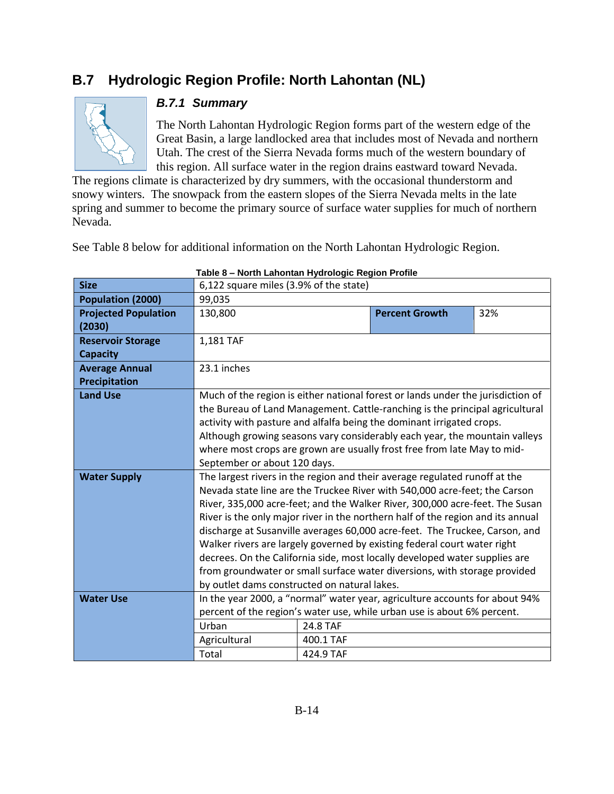# **B.7 Hydrologic Region Profile: North Lahontan (NL)**



## *B.7.1 Summary*

The North Lahontan Hydrologic Region forms part of the western edge of the Great Basin, a large landlocked area that includes most of Nevada and northern Utah. The crest of the Sierra Nevada forms much of the western boundary of this region. All surface water in the region drains eastward toward Nevada.

The regions climate is characterized by dry summers, with the occasional thunderstorm and snowy winters. The snowpack from the eastern slopes of the Sierra Nevada melts in the late spring and summer to become the primary source of surface water supplies for much of northern Nevada.

See Table 8 below for additional information on the North Lahontan Hydrologic Region.

| <b>Size</b>                 | 6,122 square miles (3.9% of the state)                                          |                                                                              |                                                                                 |     |  |  |  |  |  |
|-----------------------------|---------------------------------------------------------------------------------|------------------------------------------------------------------------------|---------------------------------------------------------------------------------|-----|--|--|--|--|--|
| Population (2000)           | 99,035                                                                          |                                                                              |                                                                                 |     |  |  |  |  |  |
| <b>Projected Population</b> | 130,800                                                                         |                                                                              | <b>Percent Growth</b>                                                           | 32% |  |  |  |  |  |
| (2030)                      |                                                                                 |                                                                              |                                                                                 |     |  |  |  |  |  |
| <b>Reservoir Storage</b>    | 1,181 TAF                                                                       |                                                                              |                                                                                 |     |  |  |  |  |  |
| <b>Capacity</b>             |                                                                                 |                                                                              |                                                                                 |     |  |  |  |  |  |
| <b>Average Annual</b>       | 23.1 inches                                                                     |                                                                              |                                                                                 |     |  |  |  |  |  |
| Precipitation               |                                                                                 |                                                                              |                                                                                 |     |  |  |  |  |  |
| <b>Land Use</b>             |                                                                                 |                                                                              | Much of the region is either national forest or lands under the jurisdiction of |     |  |  |  |  |  |
|                             |                                                                                 | the Bureau of Land Management. Cattle-ranching is the principal agricultural |                                                                                 |     |  |  |  |  |  |
|                             | activity with pasture and alfalfa being the dominant irrigated crops.           |                                                                              |                                                                                 |     |  |  |  |  |  |
|                             | Although growing seasons vary considerably each year, the mountain valleys      |                                                                              |                                                                                 |     |  |  |  |  |  |
|                             | where most crops are grown are usually frost free from late May to mid-         |                                                                              |                                                                                 |     |  |  |  |  |  |
|                             | September or about 120 days.                                                    |                                                                              |                                                                                 |     |  |  |  |  |  |
| <b>Water Supply</b>         | The largest rivers in the region and their average regulated runoff at the      |                                                                              |                                                                                 |     |  |  |  |  |  |
|                             | Nevada state line are the Truckee River with 540,000 acre-feet; the Carson      |                                                                              |                                                                                 |     |  |  |  |  |  |
|                             | River, 335,000 acre-feet; and the Walker River, 300,000 acre-feet. The Susan    |                                                                              |                                                                                 |     |  |  |  |  |  |
|                             | River is the only major river in the northern half of the region and its annual |                                                                              |                                                                                 |     |  |  |  |  |  |
|                             |                                                                                 |                                                                              | discharge at Susanville averages 60,000 acre-feet. The Truckee, Carson, and     |     |  |  |  |  |  |
|                             |                                                                                 |                                                                              | Walker rivers are largely governed by existing federal court water right        |     |  |  |  |  |  |
|                             |                                                                                 |                                                                              | decrees. On the California side, most locally developed water supplies are      |     |  |  |  |  |  |
|                             |                                                                                 |                                                                              | from groundwater or small surface water diversions, with storage provided       |     |  |  |  |  |  |
|                             | by outlet dams constructed on natural lakes.                                    |                                                                              |                                                                                 |     |  |  |  |  |  |
| <b>Water Use</b>            |                                                                                 |                                                                              | In the year 2000, a "normal" water year, agriculture accounts for about 94%     |     |  |  |  |  |  |
|                             |                                                                                 |                                                                              | percent of the region's water use, while urban use is about 6% percent.         |     |  |  |  |  |  |
|                             | Urban                                                                           | 24.8 TAF                                                                     |                                                                                 |     |  |  |  |  |  |
|                             | Agricultural                                                                    | 400.1 TAF                                                                    |                                                                                 |     |  |  |  |  |  |
|                             | Total                                                                           | 424.9 TAF                                                                    |                                                                                 |     |  |  |  |  |  |

**Table 8 – North Lahontan Hydrologic Region Profile**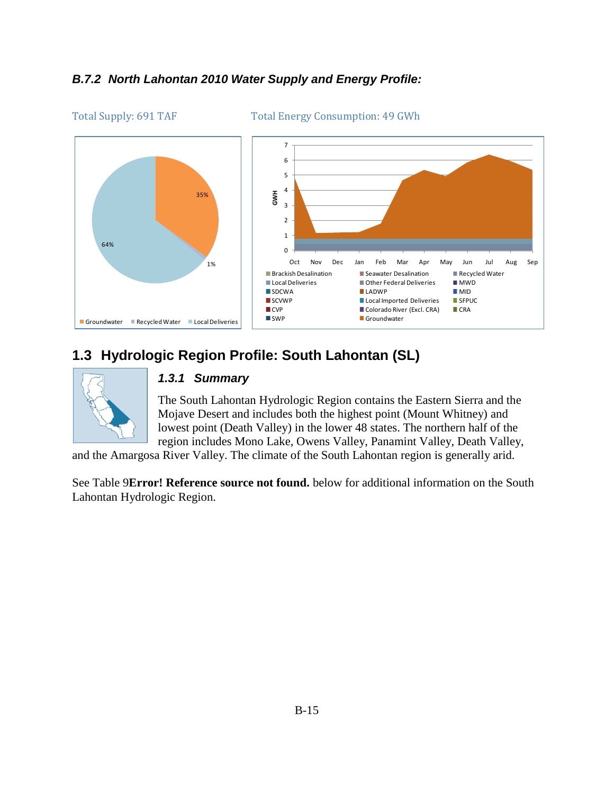## *B.7.2 North Lahontan 2010 Water Supply and Energy Profile:*



#### Total Supply: 691 TAF Total Energy Consumption: 49 GWh

# **1.3 Hydrologic Region Profile: South Lahontan (SL)**



#### *1.3.1 Summary*

The South Lahontan Hydrologic Region contains the Eastern Sierra and the Mojave Desert and includes both the highest point (Mount Whitney) and lowest point (Death Valley) in the lower 48 states. The northern half of the region includes Mono Lake, Owens Valley, Panamint Valley, Death Valley,

and the Amargosa River Valley. The climate of the South Lahontan region is generally arid.

See Table 9**Error! Reference source not found.** below for additional information on the South Lahontan Hydrologic Region.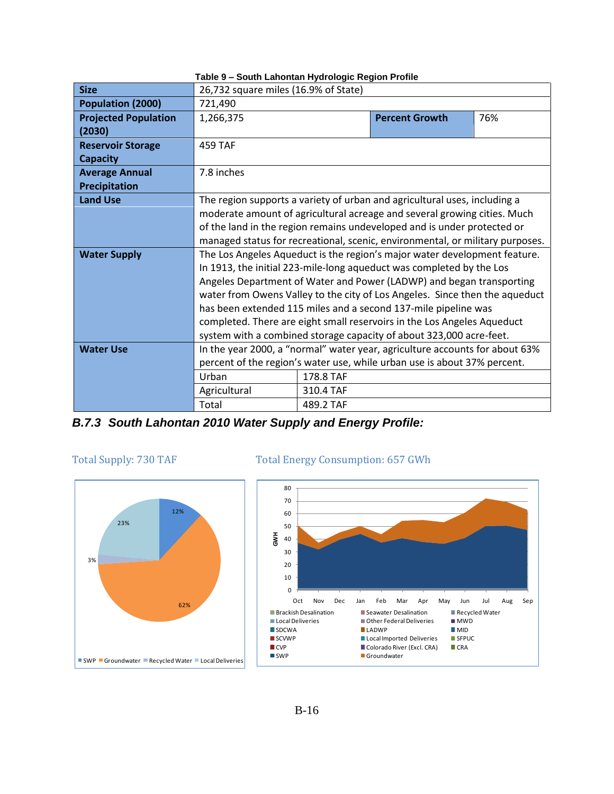| <b>Size</b>                                 | 26,732 square miles (16.9% of State)                                                                                                                                                                                                                                                                                                                                                                                                                                                                                         |                        |                       |     |  |  |
|---------------------------------------------|------------------------------------------------------------------------------------------------------------------------------------------------------------------------------------------------------------------------------------------------------------------------------------------------------------------------------------------------------------------------------------------------------------------------------------------------------------------------------------------------------------------------------|------------------------|-----------------------|-----|--|--|
| Population (2000)                           | 721,490                                                                                                                                                                                                                                                                                                                                                                                                                                                                                                                      |                        |                       |     |  |  |
| <b>Projected Population</b><br>(2030)       | 1,266,375                                                                                                                                                                                                                                                                                                                                                                                                                                                                                                                    |                        | <b>Percent Growth</b> | 76% |  |  |
| <b>Reservoir Storage</b><br><b>Capacity</b> | <b>459 TAF</b>                                                                                                                                                                                                                                                                                                                                                                                                                                                                                                               |                        |                       |     |  |  |
| <b>Average Annual</b><br>Precipitation      | 7.8 inches                                                                                                                                                                                                                                                                                                                                                                                                                                                                                                                   |                        |                       |     |  |  |
| <b>Land Use</b>                             | The region supports a variety of urban and agricultural uses, including a<br>moderate amount of agricultural acreage and several growing cities. Much<br>of the land in the region remains undeveloped and is under protected or<br>managed status for recreational, scenic, environmental, or military purposes.                                                                                                                                                                                                            |                        |                       |     |  |  |
| <b>Water Supply</b>                         | The Los Angeles Aqueduct is the region's major water development feature.<br>In 1913, the initial 223-mile-long aqueduct was completed by the Los<br>Angeles Department of Water and Power (LADWP) and began transporting<br>water from Owens Valley to the city of Los Angeles. Since then the aqueduct<br>has been extended 115 miles and a second 137-mile pipeline was<br>completed. There are eight small reservoirs in the Los Angeles Aqueduct<br>system with a combined storage capacity of about 323,000 acre-feet. |                        |                       |     |  |  |
| <b>Water Use</b>                            | In the year 2000, a "normal" water year, agriculture accounts for about 63%<br>percent of the region's water use, while urban use is about 37% percent.<br>Urban<br>178.8 TAF                                                                                                                                                                                                                                                                                                                                                |                        |                       |     |  |  |
|                                             | Agricultural<br>Total                                                                                                                                                                                                                                                                                                                                                                                                                                                                                                        | 310.4 TAF<br>489.2 TAF |                       |     |  |  |

**Table 9 – South Lahontan Hydrologic Region Profile**

*B.7.3 South Lahontan 2010 Water Supply and Energy Profile:*



### Total Supply: 730 TAF Total Energy Consumption: 657 GWh

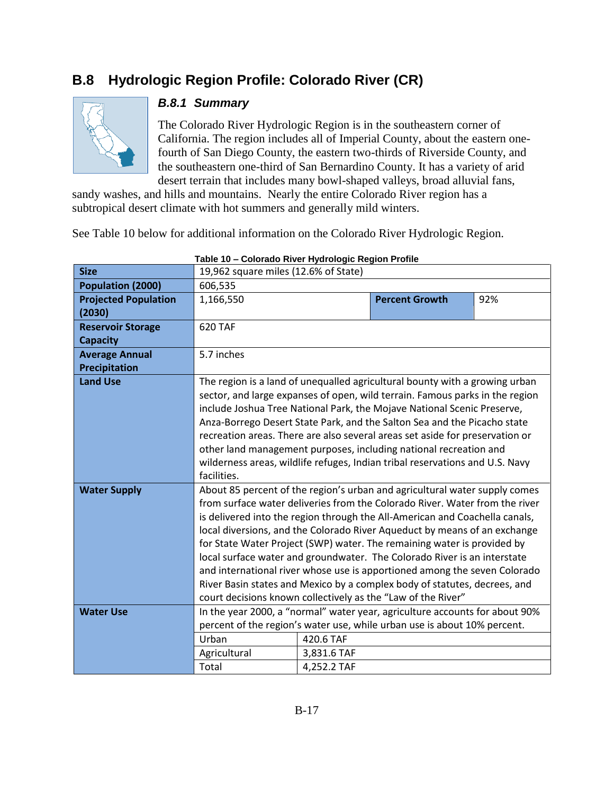# **B.8 Hydrologic Region Profile: Colorado River (CR)**



### *B.8.1 Summary*

The Colorado River Hydrologic Region is in the southeastern corner of California. The region includes all of Imperial County, about the eastern onefourth of San Diego County, the eastern two-thirds of Riverside County, and the southeastern one-third of San Bernardino County. It has a variety of arid desert terrain that includes many bowl-shaped valleys, broad alluvial fans,

sandy washes, and hills and mountains. Nearly the entire Colorado River region has a subtropical desert climate with hot summers and generally mild winters.

See Table 10 below for additional information on the Colorado River Hydrologic Region.

|                             |                                                                              | $-$ 00101 au 0 111101 111101 010 yılı 110 yılım 1 011110 |                                                                              |     |  |  |
|-----------------------------|------------------------------------------------------------------------------|----------------------------------------------------------|------------------------------------------------------------------------------|-----|--|--|
| <b>Size</b>                 | 19,962 square miles (12.6% of State)                                         |                                                          |                                                                              |     |  |  |
| Population (2000)           | 606,535                                                                      |                                                          |                                                                              |     |  |  |
| <b>Projected Population</b> | 1,166,550                                                                    |                                                          | <b>Percent Growth</b>                                                        | 92% |  |  |
| (2030)                      |                                                                              |                                                          |                                                                              |     |  |  |
| <b>Reservoir Storage</b>    | 620 TAF                                                                      |                                                          |                                                                              |     |  |  |
| <b>Capacity</b>             |                                                                              |                                                          |                                                                              |     |  |  |
| <b>Average Annual</b>       | 5.7 inches                                                                   |                                                          |                                                                              |     |  |  |
| <b>Precipitation</b>        |                                                                              |                                                          |                                                                              |     |  |  |
| <b>Land Use</b>             |                                                                              |                                                          | The region is a land of unequalled agricultural bounty with a growing urban  |     |  |  |
|                             |                                                                              |                                                          | sector, and large expanses of open, wild terrain. Famous parks in the region |     |  |  |
|                             |                                                                              |                                                          | include Joshua Tree National Park, the Mojave National Scenic Preserve,      |     |  |  |
|                             |                                                                              |                                                          | Anza-Borrego Desert State Park, and the Salton Sea and the Picacho state     |     |  |  |
|                             |                                                                              |                                                          | recreation areas. There are also several areas set aside for preservation or |     |  |  |
|                             | other land management purposes, including national recreation and            |                                                          |                                                                              |     |  |  |
|                             | wilderness areas, wildlife refuges, Indian tribal reservations and U.S. Navy |                                                          |                                                                              |     |  |  |
|                             | facilities.                                                                  |                                                          |                                                                              |     |  |  |
| <b>Water Supply</b>         | About 85 percent of the region's urban and agricultural water supply comes   |                                                          |                                                                              |     |  |  |
|                             | from surface water deliveries from the Colorado River. Water from the river  |                                                          |                                                                              |     |  |  |
|                             | is delivered into the region through the All-American and Coachella canals,  |                                                          |                                                                              |     |  |  |
|                             | local diversions, and the Colorado River Aqueduct by means of an exchange    |                                                          |                                                                              |     |  |  |
|                             |                                                                              |                                                          | for State Water Project (SWP) water. The remaining water is provided by      |     |  |  |
|                             |                                                                              |                                                          | local surface water and groundwater. The Colorado River is an interstate     |     |  |  |
|                             |                                                                              |                                                          | and international river whose use is apportioned among the seven Colorado    |     |  |  |
|                             |                                                                              |                                                          | River Basin states and Mexico by a complex body of statutes, decrees, and    |     |  |  |
|                             | court decisions known collectively as the "Law of the River"                 |                                                          |                                                                              |     |  |  |
| <b>Water Use</b>            |                                                                              |                                                          | In the year 2000, a "normal" water year, agriculture accounts for about 90%  |     |  |  |
|                             |                                                                              |                                                          | percent of the region's water use, while urban use is about 10% percent.     |     |  |  |
|                             | Urban                                                                        | 420.6 TAF                                                |                                                                              |     |  |  |
|                             | Agricultural                                                                 | 3,831.6 TAF                                              |                                                                              |     |  |  |
|                             | Total                                                                        | 4,252.2 TAF                                              |                                                                              |     |  |  |
|                             |                                                                              |                                                          |                                                                              |     |  |  |

**Table 10 – Colorado River Hydrologic Region Profile**